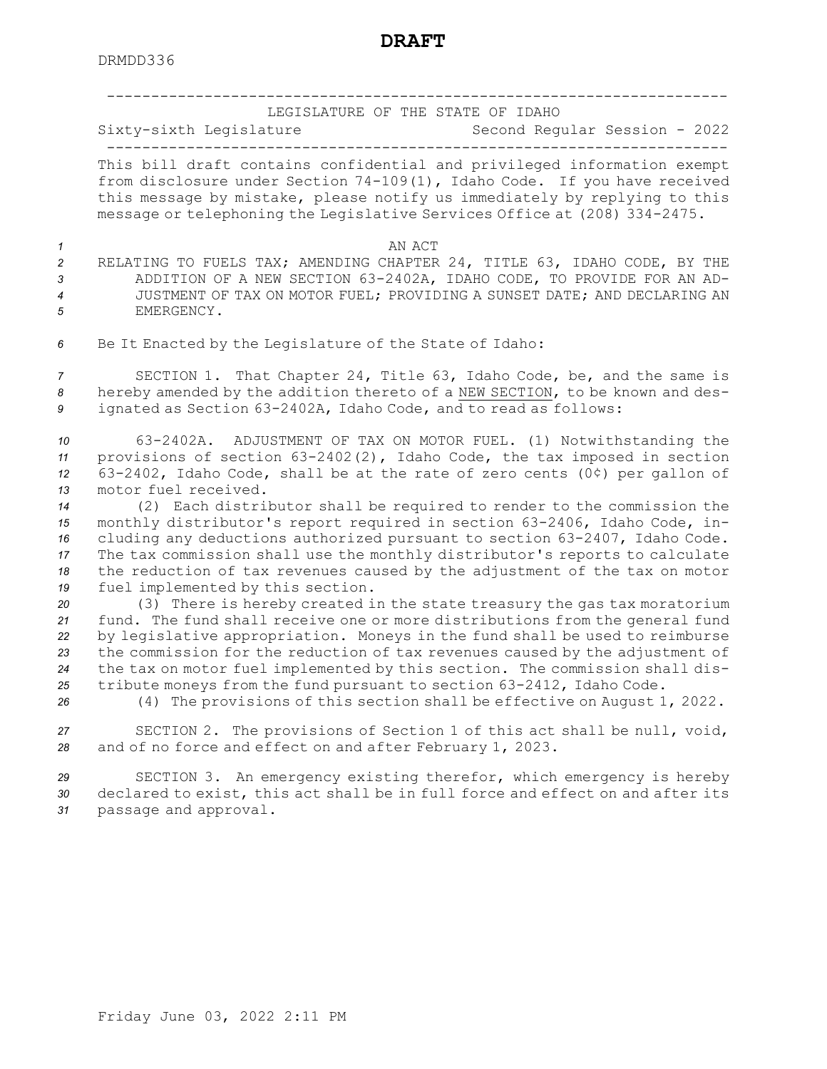----------------------------------------------------------------------LEGISLATURE OF THE STATE OF IDAHO Sixty-sixth Legislature Second Regular Session - 2022 ----------------------------------------------------------------------This bill draft contains confidential and privileged information exempt from disclosure under Section 74-109(1), Idaho Code. If you have received this message by mistake, please notify us immediately by replying to this message or telephoning the Legislative Services Office at (208) 334-2475. *1* AN ACT RELATING TO FUELS TAX; AMENDING CHAPTER 24, TITLE 63, IDAHO CODE, BY THE ADDITION OF A NEW SECTION 63-2402A, IDAHO CODE, TO PROVIDE FOR AN AD- JUSTMENT OF TAX ON MOTOR FUEL; PROVIDING A SUNSET DATE; AND DECLARING AN EMERGENCY. Be It Enacted by the Legislature of the State of Idaho: SECTION 1. That Chapter 24, Title 63, Idaho Code, be, and the same is hereby amended by the addition thereto of <sup>a</sup> NEW SECTION, to be known and des- ignated as Section 63-2402A, Idaho Code, and to read as follows: 63-2402A. ADJUSTMENT OF TAX ON MOTOR FUEL. (1) Notwithstanding the provisions of section 63-2402(2), Idaho Code, the tax imposed in section 63-2402, Idaho Code, shall be at the rate of zero cents (0¢) per gallon of motor fuel received. (2) Each distributor shall be required to render to the commission the monthly distributor's report required in section 63-2406, Idaho Code, in- cluding any deductions authorized pursuant to section 63-2407, Idaho Code. The tax commission shall use the monthly distributor's reports to calculate the reduction of tax revenues caused by the adjustment of the tax on motor

**DRAFT**

*<sup>19</sup>* fuel implemented by this section.

 (3) There is hereby created in the state treasury the gas tax moratorium fund. The fund shall receive one or more distributions from the general fund by legislative appropriation. Moneys in the fund shall be used to reimburse the commission for the reduction of tax revenues caused by the adjustment of the tax on motor fuel implemented by this section. The commission shall dis-tribute moneys from the fund pursuant to section 63-2412, Idaho Code.

*<sup>26</sup>* (4) The provisions of this section shall be effective on August 1, 2022.

*<sup>27</sup>* SECTION 2. The provisions of Section 1 of this act shall be null, void, *<sup>28</sup>* and of no force and effect on and after February 1, 2023.

*<sup>29</sup>* SECTION 3. An emergency existing therefor, which emergency is hereby *<sup>30</sup>* declared to exist, this act shall be in full force and effect on and after its *<sup>31</sup>* passage and approval.